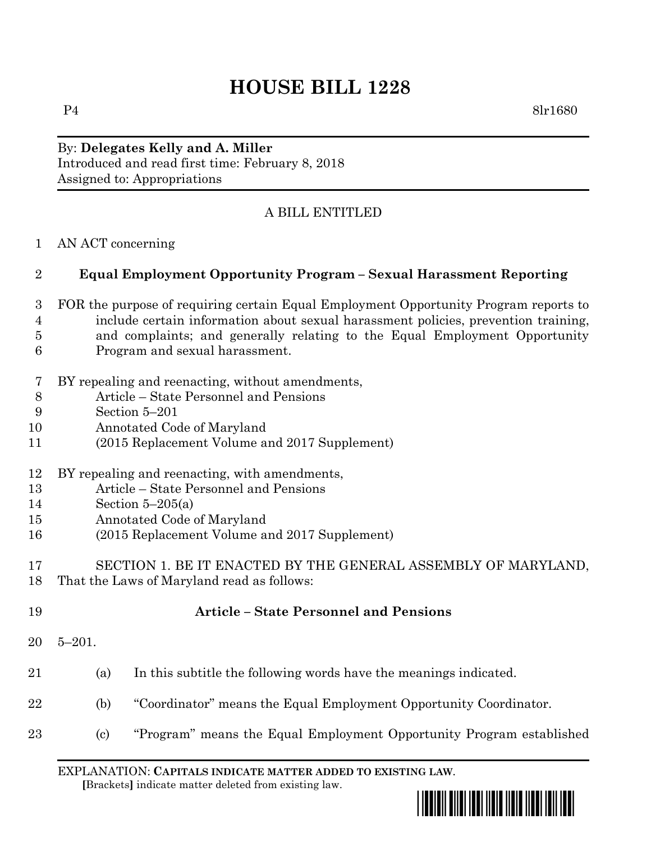## **HOUSE BILL 1228**

P4 8lr1680

By: **Delegates Kelly and A. Miller** Introduced and read first time: February 8, 2018 Assigned to: Appropriations

## A BILL ENTITLED

AN ACT concerning

## **Equal Employment Opportunity Program – Sexual Harassment Reporting**

- FOR the purpose of requiring certain Equal Employment Opportunity Program reports to include certain information about sexual harassment policies, prevention training, and complaints; and generally relating to the Equal Employment Opportunity Program and sexual harassment.
- BY repealing and reenacting, without amendments,
- Article State Personnel and Pensions
- Section 5–201
- Annotated Code of Maryland
- (2015 Replacement Volume and 2017 Supplement)
- BY repealing and reenacting, with amendments,
- Article State Personnel and Pensions
- Section 5–205(a)
- Annotated Code of Maryland
- (2015 Replacement Volume and 2017 Supplement)
- SECTION 1. BE IT ENACTED BY THE GENERAL ASSEMBLY OF MARYLAND, That the Laws of Maryland read as follows:
- **Article – State Personnel and Pensions** 5–201. (a) In this subtitle the following words have the meanings indicated. (b) "Coordinator" means the Equal Employment Opportunity Coordinator. (c) "Program" means the Equal Employment Opportunity Program established

EXPLANATION: **CAPITALS INDICATE MATTER ADDED TO EXISTING LAW**.  **[**Brackets**]** indicate matter deleted from existing law.